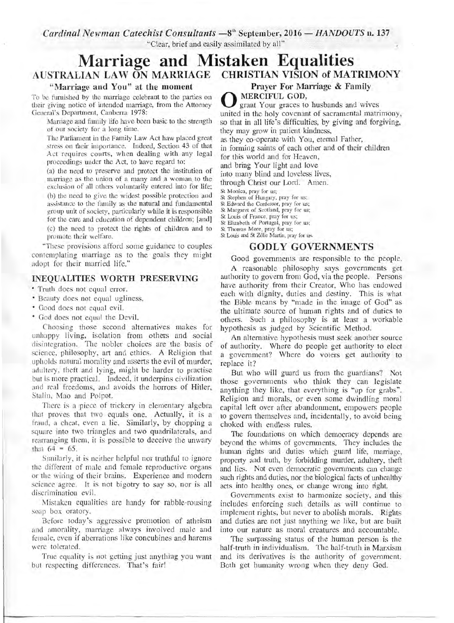*Cardinal Newman Catechist Consultants*  $-8$ <sup>th</sup> September, 2016  $-$  *HANDOUTS* n. 137 "Clear, brief and easily assimilated by all"

# **Marriage and Mistaken Equalities AUSTRALIAN LAW ON MARRIAGE CHRISTIAN VISION of MATRIMONY**

#### **"Marriage and You" at the moment**

To be furnished by the marriage celebrant to the patties on their giving notice of intended marriage, from the Attorney General's Department, Canberra 1978:

Marriage and family life have been basic to the strength of our society for a long time.

The Parliament in the Family Law Act haw placed great stress on their importance. Indeed, Section 43 of that Act requires courts, when dealing with any legal proceedings under the Act, to have regard to:

(a) the need to preserve and protect the institution of marriage as the union of a many and a woman to the exclusion of all others voluntarily entered into for life; (b) the need to give the widest possible protection and assistance to the family as the natural and fundamental group unit of society, particularly while it is responsible for the care and education of dependent children; [and] (c) the need to protect the rights of children and to promote their welfare.

"These provisions afford some guidance to couples contemplating marriage as to the goals they might adopt for their married life."

#### **INEQUALITIES WORTH PRESERVING**

• Truth does not equal error.

- Beauty does not equal ugliness.
- Good does not equal evil.
- God does not equal the Devil.

Choosing those second alternatives makes for unhappy living, isolation from others and social disintegration. The nobler choices are the basis of science, philosophy, art and ethics. A Religion that upholds natural morality and asserts the evil of murder, adultery, theft and lying, might be harder to practise but is more practical. Indeed, it underpins civilization and real freedoms, and avoids the horrors of Hitler, Stalin, Mao and Polpot.

There is a piece of trickery in elementary algebra that proves that two equals one. Actually, it is a fraud, a cheat, even a lie. Similarly, by chopping a square into two triangles and two quadrilaterals, and rearranging them, it is possible to deceive the unwary that  $64 = 65$ .

Similarly, it is neither helpful nor truthful to ignore the different of male and female reproductive organs or the wiring of their brains. Experience and modern science agree. It is not bigotry to say so, nor is all discrimination evil.

Mistaken equalities are handy for rabble-rousing soap box oratory.

Before today's aggressive promotion of atheism and amorality, marriage always involved male and female, even if aberrations like concubines and harems were tolerated.

True equality is not getting just anything \_you want but respecting differences. That's fair!

**Prayer For Marriage & Family** 

O **MERCIFUL GOD,**  grant Your graces to husbands and wives united in the holy covenant of sacramental matrimony, so that in all life's difficulties, by giving and forgiving, they may grow in patient kindness,

as they co-operate with You, eternal Father,

in forming saints of each other and of their children

for this world and for Heaven,

and bring Your light and love

into many blind and loveless lives,

through Christ our Lord. Amen.

St Monica, pray for us;

St Stephen of Hungary, pray for us;

St Edward the Confessor, pray for us; St Margaret of Scotland, pray for us;

St Louis of France, pray for us; St Elizabeth of Portugal, pray for us;

St Thomas More, pray for us; St Louis and St Zelie Martin, pray for us.

### **GODLY GOVERNMENTS**

Good governments are responsible to the people.

A reasonable philosophy says governments get authority to govern from God, via the people. Persons have authority from their Creator, Who has endowed each with dignity, duties and destiny. This is what the Bible means by "made in the image of God" as the ultimate source of human rights and of duties to others. Such a philosophy is at least a workable hypothesis as judged by Scientific Method.

An alternative hypothesis must seek another source of authority. Where do people get authority to elect a government? Where do voters get authority to replace it?

But who will guard us from the guardians? Not those governments who think they can legislate anything they like, that everything is "up for grabs". Religion and morals, or even some dwindling moral capital left over after abandonment, empowers people to govern themselves and, incidentally, to avoid being choked with endless rules.

The foundations on which democracy depends are beyond the whims of governments. They includes the human rights and duties which guard life, marriage, property and truth, by forbidding murder, adultery, theft and lies. Not even democratic governments can change such rights and duties, nor the biological facts of unhealthy acts into healthy ones, or change wrong into right.

Governments exist to harmonize society, and this includes enforcing such details as will continue to implement rights, but never to abolish morals. Rights and duties are not just anything we like, but are built into our nature as moral creatures and accountable.

The surpassing status of the human person is the half-truth in individualism. The half-truth in Marxism and its derivatives is the authority of government. Both get humanity wrong when they deny God.